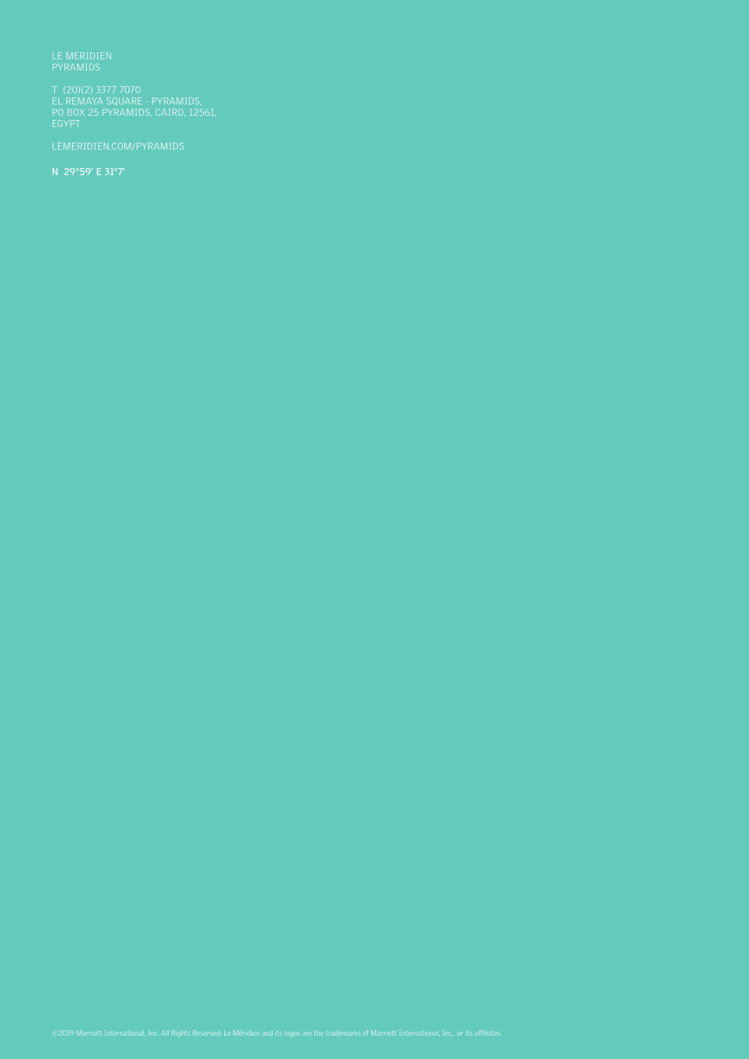LE MERIDIEN PYRAMIDS

T (20)(2) 3377 7070 EL REMAYA SQUARE - PYRAMIDS, PO BOX 25 PYRAMIDS, CAIRO, 12561, EGYPT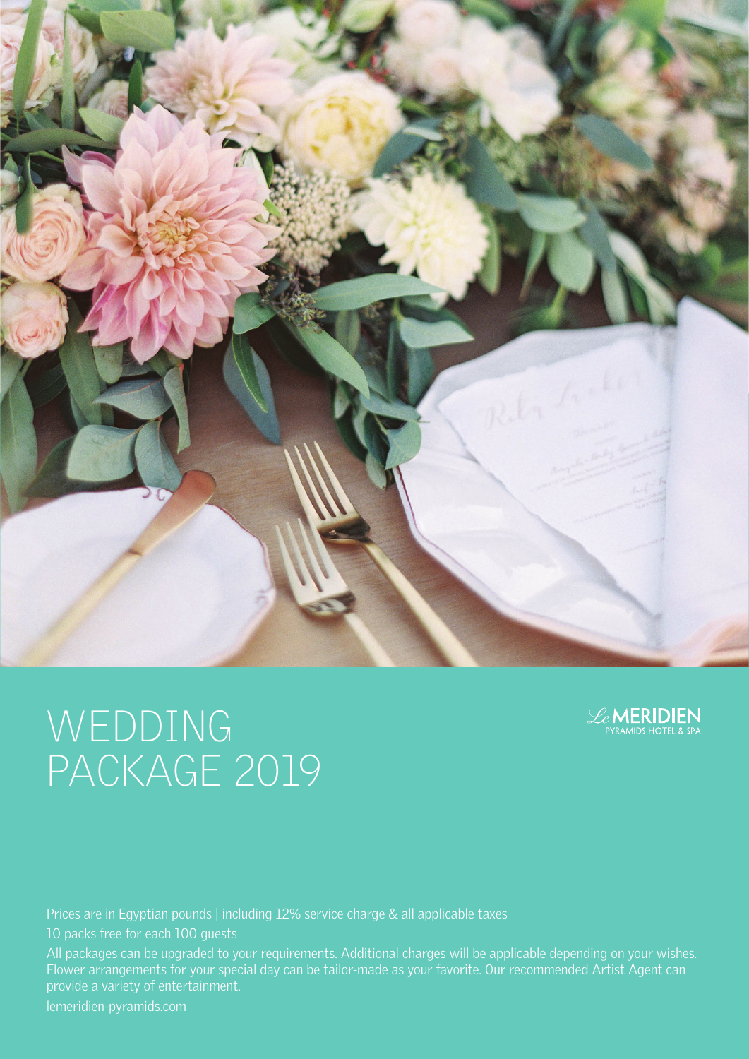



Prices are in Egyptian pounds | including 12% service charge & all applicable taxes

10 packs free for each 100 guests

All packages can be upgraded to your requirements. Additional charges will be applicable depending on your wishes. Flower arrangements for your special day can be tailor-made as your favorite. Our recommended Artist Agent can provide a variety of entertainment.

lemeridien-pyramids.com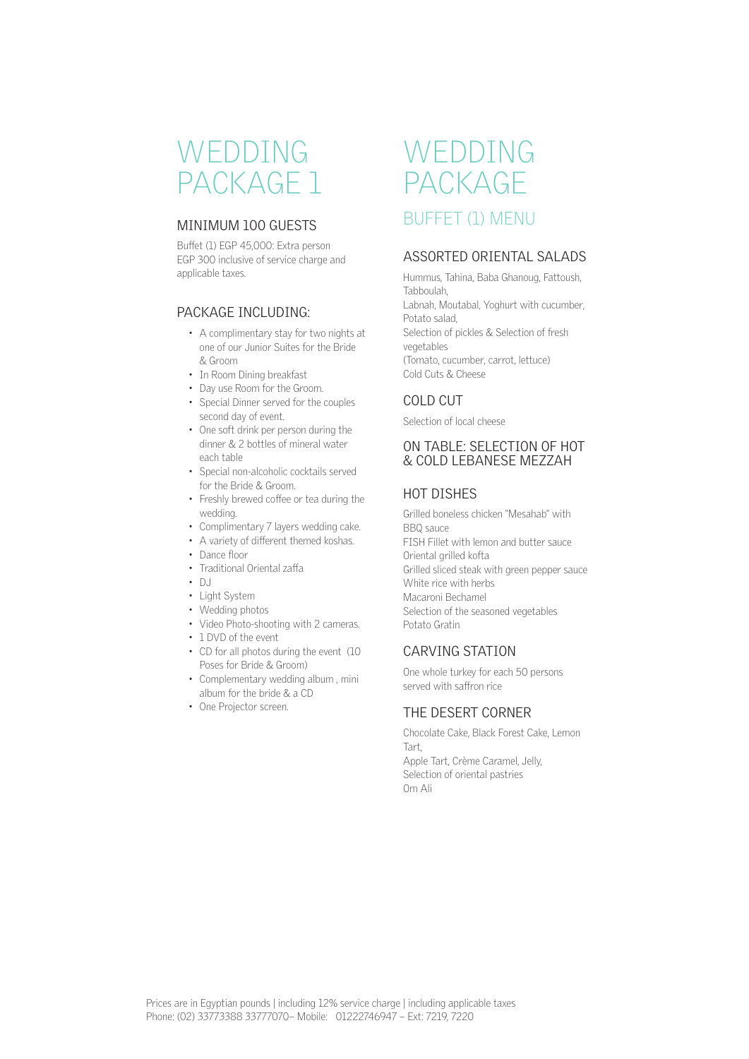#### MINIMUM 100 GUESTS

Buffet (1) EGP 45,000: Extra person EGP 300 inclusive of service charge and applicable taxes.

#### PACKAGE INCLUDING:

- A complimentary stay for two nights at one of our Junior Suites for the Bride & Groom
- In Room Dining breakfast
- Day use Room for the Groom.
- Special Dinner served for the couples second day of event.
- One soft drink per person during the dinner & 2 bottles of mineral water each table
- Special non-alcoholic cocktails served for the Bride & Groom.
- Freshly brewed coffee or tea during the wedding.
- Complimentary 7 layers wedding cake.
- A variety of different themed koshas.
- Dance floor
- Traditional Oriental zaffa
- DJ
- Light System
- Wedding photos
- Video Photo-shooting with 2 cameras.
- 1 DVD of the event
- CD for all photos during the event (10 Poses for Bride & Groom)
- Complementary wedding album , mini album for the bride & a CD
- One Projector screen.

### WEDDING PACKAGE BUFFET (1) MENU

#### ASSORTED ORIENTAL SALADS

Hummus, Tahina, Baba Ghanoug, Fattoush, Tabboulah, Labnah, Moutabal, Yoghurt with cucumber, Potato salad, Selection of pickles & Selection of fresh vegetables (Tomato, cucumber, carrot, lettuce) Cold Cuts & Cheese

#### COLD CUT

Selection of local cheese

#### ON TABLE: SELECTION OF HOT & COLD LEBANESE MEZZAH

#### HOT DISHES

Grilled boneless chicken "Mesahab" with BBQ sauce FISH Fillet with lemon and butter sauce Oriental grilled kofta Grilled sliced steak with green pepper sauce White rice with herbs Macaroni Bechamel Selection of the seasoned vegetables Potato Gratin

#### CARVING STATION

One whole turkey for each 50 persons served with saffron rice

#### THE DESERT CORNER

Chocolate Cake, Black Forest Cake, Lemon Tart, Apple Tart, Crème Caramel, Jelly, Selection of oriental pastries Om Ali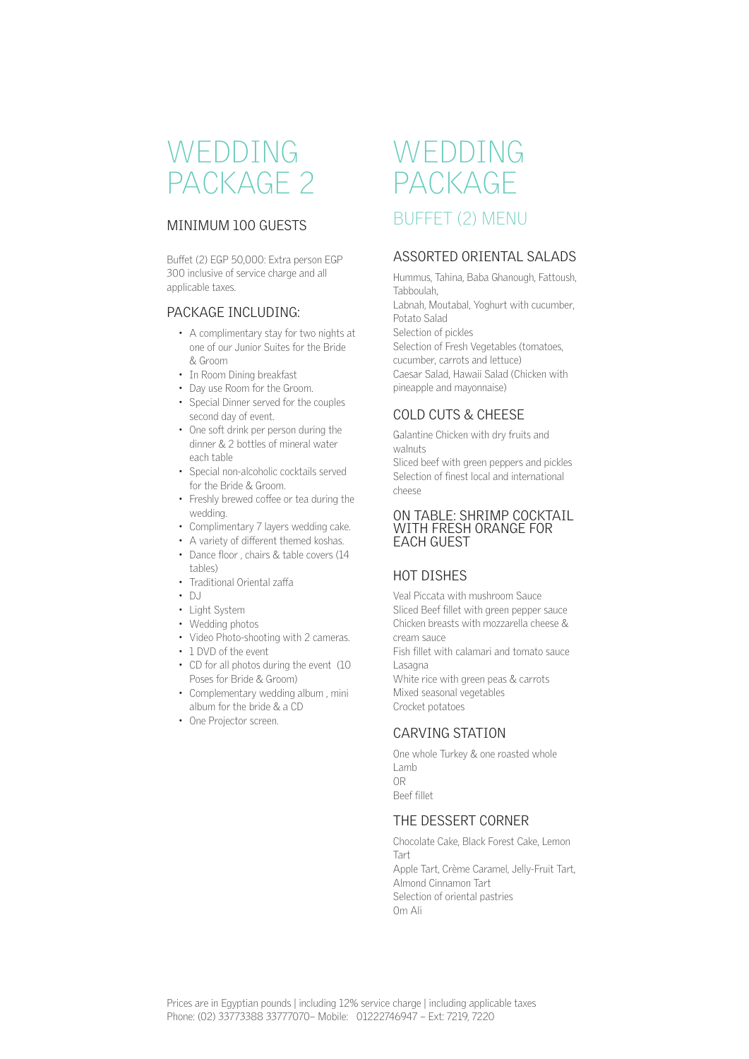#### MINIMUM 100 GUESTS

Buffet (2) EGP 50,000: Extra person EGP 300 inclusive of service charge and all applicable taxes.

#### PACKAGE INCLUDING:

- A complimentary stay for two nights at one of our Junior Suites for the Bride & Groom
- In Room Dining breakfast
- Day use Room for the Groom.
- Special Dinner served for the couples second day of event.
- One soft drink per person during the dinner & 2 bottles of mineral water each table
- Special non-alcoholic cocktails served for the Bride & Groom.
- Freshly brewed coffee or tea during the wedding.
- Complimentary 7 layers wedding cake.
- A variety of different themed koshas.
- Dance floor , chairs & table covers (14 tables)
- Traditional Oriental zaffa
- $\cdot$  DJ
- Light System
- Wedding photos
- Video Photo-shooting with 2 cameras.
- 1 DVD of the event.
- CD for all photos during the event (10 Poses for Bride & Groom)
- Complementary wedding album , mini album for the bride & a CD
- One Projector screen.

### WEDDING PACKAGE BUFFET (2) MENU

#### ASSORTED ORIENTAL SALADS

Hummus, Tahina, Baba Ghanough, Fattoush, Tabboulah,

Labnah, Moutabal, Yoghurt with cucumber, Potato Salad Selection of pickles

Selection of Fresh Vegetables (tomatoes, cucumber, carrots and lettuce) Caesar Salad, Hawaii Salad (Chicken with pineapple and mayonnaise)

#### COLD CUTS & CHEESE

Galantine Chicken with dry fruits and walnuts

Sliced beef with green peppers and pickles Selection of finest local and international cheese

#### ON TABLE: SHRIMP COCKTAIL WITH FRESH ORANGE FOR EACH GUEST

#### HOT DISHES

Veal Piccata with mushroom Sauce Sliced Beef fillet with green pepper sauce Chicken breasts with mozzarella cheese & cream sauce Fish fillet with calamari and tomato sauce Lasagna White rice with green peas & carrots Mixed seasonal vegetables Crocket potatoes

#### CARVING STATION

One whole Turkey & one roasted whole Lamb OR Beef fillet

#### THE DESSERT CORNER

Chocolate Cake, Black Forest Cake, Lemon Tart Apple Tart, Crème Caramel, Jelly-Fruit Tart, Almond Cinnamon Tart Selection of oriental pastries Om Ali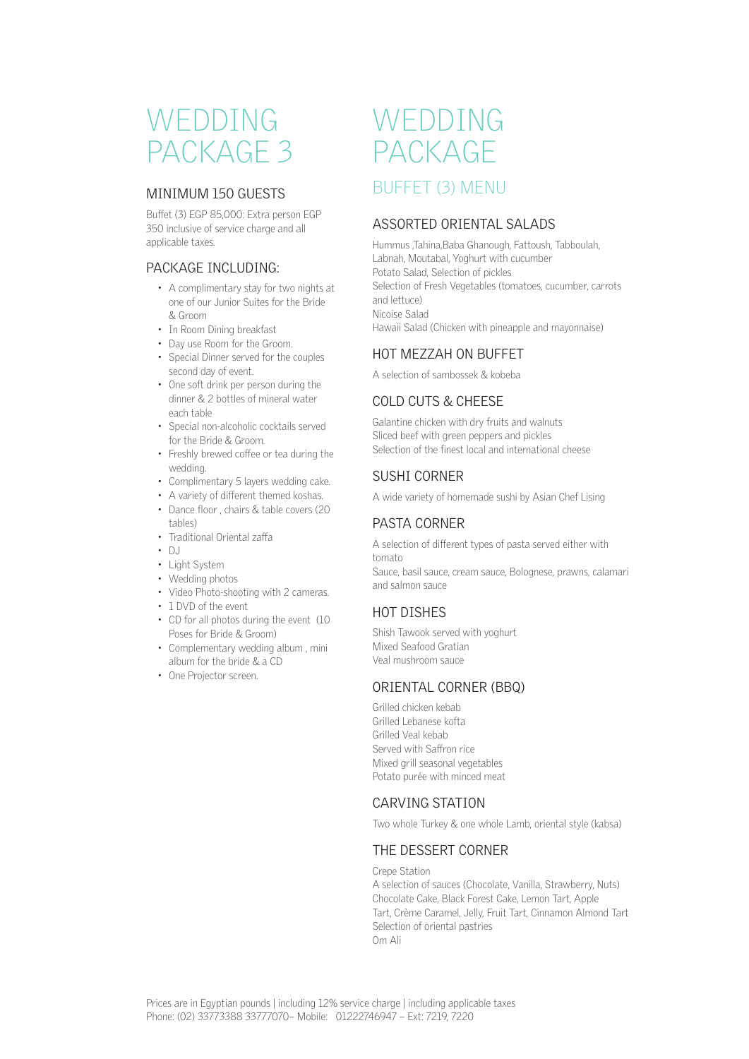#### MINIMUM 150 GUESTS

Buffet (3) EGP 85,000: Extra person EGP 350 inclusive of service charge and all applicable taxes.

#### PACKAGE INCLUDING:

- A complimentary stay for two nights at one of our Junior Suites for the Bride & Groom
- In Room Dining breakfast
- Day use Room for the Groom.
- Special Dinner served for the couples second day of event.
- One soft drink per person during the dinner & 2 bottles of mineral water each table
- Special non-alcoholic cocktails served for the Bride & Groom.
- Freshly brewed coffee or tea during the wedding.
- Complimentary 5 layers wedding cake.
- A variety of different themed koshas. • Dance floor , chairs & table covers (20
- tables)
- Traditional Oriental zaffa
- $\cdot$  DJ
- Light System
- Wedding photos
- Video Photo-shooting with 2 cameras.
- 1 DVD of the event
- CD for all photos during the event (10 Poses for Bride & Groom)
- Complementary wedding album , mini album for the bride & a CD
- One Projector screen.

### WEDDING PACKAGE BUFFET (3) MENU

#### ASSORTED ORIENTAL SALADS

Hummus ,Tahina,Baba Ghanough, Fattoush, Tabboulah, Labnah, Moutabal, Yoghurt with cucumber Potato Salad, Selection of pickles Selection of Fresh Vegetables (tomatoes, cucumber, carrots and lettuce) Nicoise Salad Hawaii Salad (Chicken with pineapple and mayonnaise)

#### HOT MEZZAH ON BUFFET

A selection of sambossek & kobeba

#### COLD CUTS & CHEESE

Galantine chicken with dry fruits and walnuts Sliced beef with green peppers and pickles Selection of the finest local and international cheese

#### SUSHI CORNER

A wide variety of homemade sushi by Asian Chef Lising

#### PASTA CORNER

A selection of different types of pasta served either with tomato Sauce, basil sauce, cream sauce, Bolognese, prawns, calamari and salmon sauce

#### HOT DISHES

Shish Tawook served with yoghurt Mixed Seafood Gratian Veal mushroom sauce

#### ORIENTAL CORNER (BBQ)

Grilled chicken kebab Grilled Lebanese kofta Grilled Veal kebab Served with Saffron rice Mixed grill seasonal vegetables Potato purée with minced meat

#### CARVING STATION

Two whole Turkey & one whole Lamb, oriental style (kabsa)

#### THE DESSERT CORNER

Crepe Station A selection of sauces (Chocolate, Vanilla, Strawberry, Nuts) Chocolate Cake, Black Forest Cake, Lemon Tart, Apple Tart, Crème Caramel, Jelly, Fruit Tart, Cinnamon Almond Tart Selection of oriental pastries Om Ali